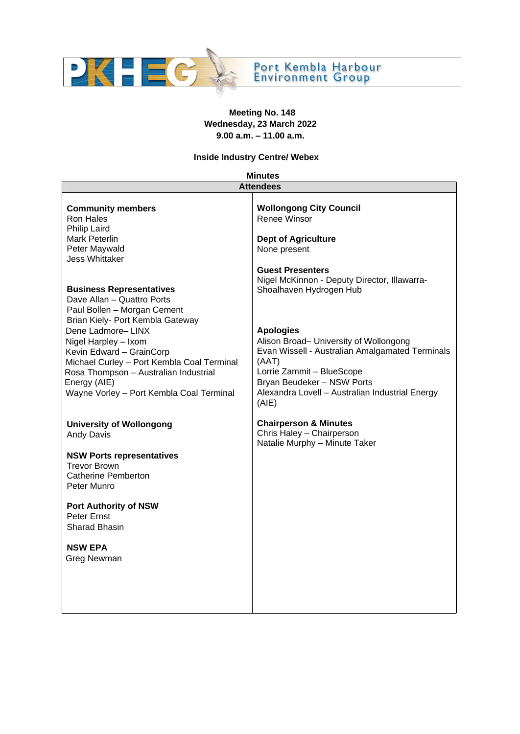

# **Meeting No. 148 Wednesday, 23 March 2022 9.00 a.m. – 11.00 a.m.**

### **Inside Industry Centre/ Webex**

| <b>Minutes</b>                                                                                                                                                                                                                                               |                                                                                                                                                                                                                                               |
|--------------------------------------------------------------------------------------------------------------------------------------------------------------------------------------------------------------------------------------------------------------|-----------------------------------------------------------------------------------------------------------------------------------------------------------------------------------------------------------------------------------------------|
|                                                                                                                                                                                                                                                              | <b>Attendees</b>                                                                                                                                                                                                                              |
| <b>Community members</b><br>Ron Hales                                                                                                                                                                                                                        | <b>Wollongong City Council</b><br>Renee Winsor                                                                                                                                                                                                |
| <b>Philip Laird</b><br>Mark Peterlin<br>Peter Maywald                                                                                                                                                                                                        | <b>Dept of Agriculture</b><br>None present                                                                                                                                                                                                    |
| <b>Jess Whittaker</b><br><b>Business Representatives</b><br>Dave Allan - Quattro Ports<br>Paul Bollen - Morgan Cement                                                                                                                                        | <b>Guest Presenters</b><br>Nigel McKinnon - Deputy Director, Illawarra-<br>Shoalhaven Hydrogen Hub                                                                                                                                            |
| Brian Kiely- Port Kembla Gateway<br>Dene Ladmore-LINX<br>Nigel Harpley - Ixom<br>Kevin Edward - GrainCorp<br>Michael Curley - Port Kembla Coal Terminal<br>Rosa Thompson - Australian Industrial<br>Energy (AIE)<br>Wayne Vorley - Port Kembla Coal Terminal | <b>Apologies</b><br>Alison Broad- University of Wollongong<br>Evan Wissell - Australian Amalgamated Terminals<br>(AAT)<br>Lorrie Zammit - BlueScope<br>Bryan Beudeker - NSW Ports<br>Alexandra Lovell - Australian Industrial Energy<br>(AIE) |
| <b>University of Wollongong</b><br><b>Andy Davis</b>                                                                                                                                                                                                         | <b>Chairperson &amp; Minutes</b><br>Chris Haley - Chairperson<br>Natalie Murphy - Minute Taker                                                                                                                                                |
| <b>NSW Ports representatives</b><br><b>Trevor Brown</b><br><b>Catherine Pemberton</b><br>Peter Munro                                                                                                                                                         |                                                                                                                                                                                                                                               |
| <b>Port Authority of NSW</b><br>Peter Ernst<br><b>Sharad Bhasin</b>                                                                                                                                                                                          |                                                                                                                                                                                                                                               |
| <b>NSW EPA</b><br>Greg Newman                                                                                                                                                                                                                                |                                                                                                                                                                                                                                               |
|                                                                                                                                                                                                                                                              |                                                                                                                                                                                                                                               |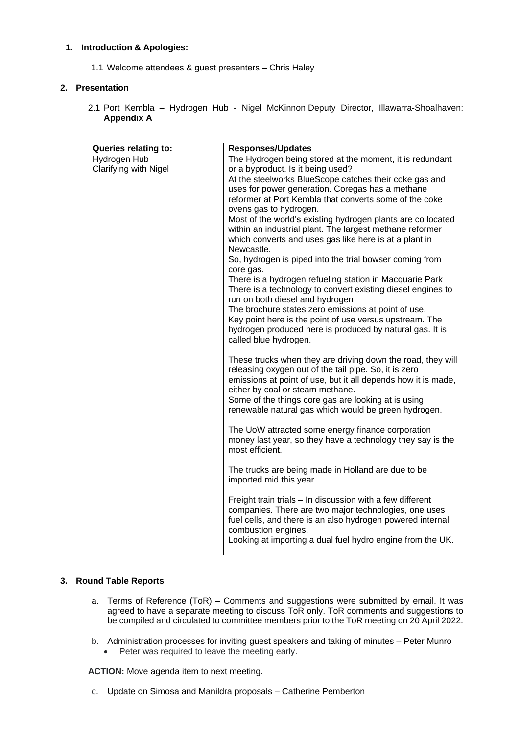## **1. Introduction & Apologies:**

1.1 Welcome attendees & guest presenters – Chris Haley

## **2. Presentation**

2.1 Port Kembla – Hydrogen Hub - Nigel McKinnon Deputy Director, Illawarra-Shoalhaven: **Appendix A**

| <b>Queries relating to:</b>  | <b>Responses/Updates</b>                                                                                                                                                                                                  |
|------------------------------|---------------------------------------------------------------------------------------------------------------------------------------------------------------------------------------------------------------------------|
| Hydrogen Hub                 | The Hydrogen being stored at the moment, it is redundant                                                                                                                                                                  |
| <b>Clarifying with Nigel</b> | or a byproduct. Is it being used?                                                                                                                                                                                         |
|                              | At the steelworks BlueScope catches their coke gas and                                                                                                                                                                    |
|                              | uses for power generation. Coregas has a methane                                                                                                                                                                          |
|                              | reformer at Port Kembla that converts some of the coke                                                                                                                                                                    |
|                              | ovens gas to hydrogen.                                                                                                                                                                                                    |
|                              | Most of the world's existing hydrogen plants are co located                                                                                                                                                               |
|                              | within an industrial plant. The largest methane reformer                                                                                                                                                                  |
|                              | which converts and uses gas like here is at a plant in                                                                                                                                                                    |
|                              | Newcastle.                                                                                                                                                                                                                |
|                              | So, hydrogen is piped into the trial bowser coming from                                                                                                                                                                   |
|                              | core gas.                                                                                                                                                                                                                 |
|                              | There is a hydrogen refueling station in Macquarie Park                                                                                                                                                                   |
|                              | There is a technology to convert existing diesel engines to<br>run on both diesel and hydrogen                                                                                                                            |
|                              | The brochure states zero emissions at point of use.                                                                                                                                                                       |
|                              | Key point here is the point of use versus upstream. The                                                                                                                                                                   |
|                              | hydrogen produced here is produced by natural gas. It is                                                                                                                                                                  |
|                              | called blue hydrogen.                                                                                                                                                                                                     |
|                              |                                                                                                                                                                                                                           |
|                              | These trucks when they are driving down the road, they will<br>releasing oxygen out of the tail pipe. So, it is zero<br>emissions at point of use, but it all depends how it is made,<br>either by coal or steam methane. |
|                              | Some of the things core gas are looking at is using                                                                                                                                                                       |
|                              | renewable natural gas which would be green hydrogen.                                                                                                                                                                      |
|                              |                                                                                                                                                                                                                           |
|                              | The UoW attracted some energy finance corporation                                                                                                                                                                         |
|                              | money last year, so they have a technology they say is the                                                                                                                                                                |
|                              | most efficient.                                                                                                                                                                                                           |
|                              | The trucks are being made in Holland are due to be                                                                                                                                                                        |
|                              | imported mid this year.                                                                                                                                                                                                   |
|                              |                                                                                                                                                                                                                           |
|                              | Freight train trials - In discussion with a few different<br>companies. There are two major technologies, one uses                                                                                                        |
|                              | fuel cells, and there is an also hydrogen powered internal<br>combustion engines.                                                                                                                                         |
|                              | Looking at importing a dual fuel hydro engine from the UK.                                                                                                                                                                |
|                              |                                                                                                                                                                                                                           |

## **3. Round Table Reports**

- a. Terms of Reference (ToR) Comments and suggestions were submitted by email. It was agreed to have a separate meeting to discuss ToR only. ToR comments and suggestions to be compiled and circulated to committee members prior to the ToR meeting on 20 April 2022.
- b. Administration processes for inviting guest speakers and taking of minutes Peter Munro
	- Peter was required to leave the meeting early.

**ACTION:** Move agenda item to next meeting.

c. Update on Simosa and Manildra proposals – Catherine Pemberton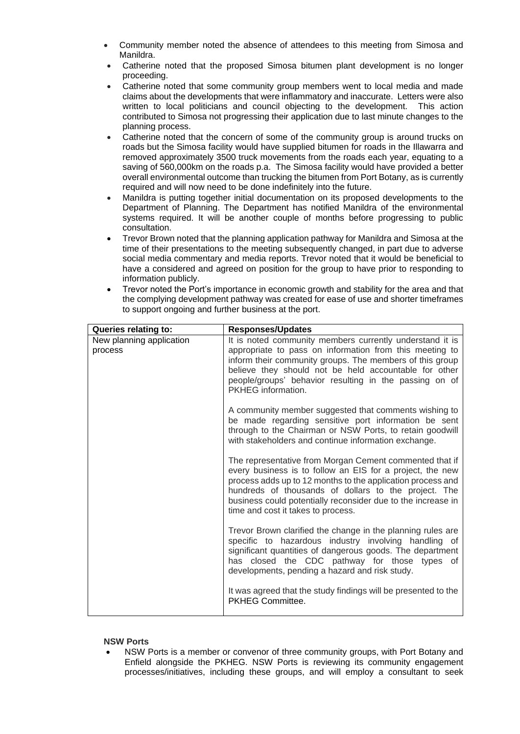- Community member noted the absence of attendees to this meeting from Simosa and Manildra.
- Catherine noted that the proposed Simosa bitumen plant development is no longer proceeding.
- Catherine noted that some community group members went to local media and made claims about the developments that were inflammatory and inaccurate. Letters were also written to local politicians and council objecting to the development. This action contributed to Simosa not progressing their application due to last minute changes to the planning process.
- Catherine noted that the concern of some of the community group is around trucks on roads but the Simosa facility would have supplied bitumen for roads in the Illawarra and removed approximately 3500 truck movements from the roads each year, equating to a saving of 560,000km on the roads p.a. The Simosa facility would have provided a better overall environmental outcome than trucking the bitumen from Port Botany, as is currently required and will now need to be done indefinitely into the future.
- Manildra is putting together initial documentation on its proposed developments to the Department of Planning. The Department has notified Manildra of the environmental systems required. It will be another couple of months before progressing to public consultation.
- Trevor Brown noted that the planning application pathway for Manildra and Simosa at the time of their presentations to the meeting subsequently changed, in part due to adverse social media commentary and media reports. Trevor noted that it would be beneficial to have a considered and agreed on position for the group to have prior to responding to information publicly.
- Trevor noted the Port's importance in economic growth and stability for the area and that the complying development pathway was created for ease of use and shorter timeframes to support ongoing and further business at the port.

| <b>Queries relating to:</b>         | <b>Responses/Updates</b>                                                                                                                                                                                                                                                                                                                          |
|-------------------------------------|---------------------------------------------------------------------------------------------------------------------------------------------------------------------------------------------------------------------------------------------------------------------------------------------------------------------------------------------------|
| New planning application<br>process | It is noted community members currently understand it is<br>appropriate to pass on information from this meeting to<br>inform their community groups. The members of this group<br>believe they should not be held accountable for other<br>people/groups' behavior resulting in the passing on of<br>PKHEG information.                          |
|                                     | A community member suggested that comments wishing to<br>be made regarding sensitive port information be sent<br>through to the Chairman or NSW Ports, to retain goodwill<br>with stakeholders and continue information exchange.                                                                                                                 |
|                                     | The representative from Morgan Cement commented that if<br>every business is to follow an EIS for a project, the new<br>process adds up to 12 months to the application process and<br>hundreds of thousands of dollars to the project. The<br>business could potentially reconsider due to the increase in<br>time and cost it takes to process. |
|                                     | Trevor Brown clarified the change in the planning rules are<br>specific to hazardous industry involving handling of<br>significant quantities of dangerous goods. The department<br>has closed the CDC pathway for those types of<br>developments, pending a hazard and risk study.                                                               |
|                                     | It was agreed that the study findings will be presented to the<br><b>PKHEG Committee.</b>                                                                                                                                                                                                                                                         |

## **NSW Ports**

• NSW Ports is a member or convenor of three community groups, with Port Botany and Enfield alongside the PKHEG. NSW Ports is reviewing its community engagement processes/initiatives, including these groups, and will employ a consultant to seek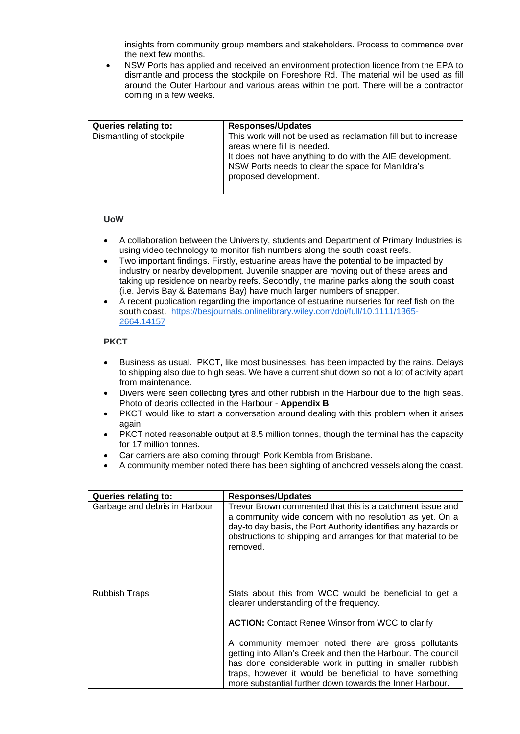insights from community group members and stakeholders. Process to commence over the next few months.

• NSW Ports has applied and received an environment protection licence from the EPA to dismantle and process the stockpile on Foreshore Rd. The material will be used as fill around the Outer Harbour and various areas within the port. There will be a contractor coming in a few weeks.

| Queries relating to:     | <b>Responses/Updates</b>                                                                                                                                                                                                                 |
|--------------------------|------------------------------------------------------------------------------------------------------------------------------------------------------------------------------------------------------------------------------------------|
| Dismantling of stockpile | This work will not be used as reclamation fill but to increase<br>areas where fill is needed.<br>It does not have anything to do with the AIE development.<br>NSW Ports needs to clear the space for Manildra's<br>proposed development. |

## **UoW**

- A collaboration between the University, students and Department of Primary Industries is using video technology to monitor fish numbers along the south coast reefs.
- Two important findings. Firstly, estuarine areas have the potential to be impacted by industry or nearby development. Juvenile snapper are moving out of these areas and taking up residence on nearby reefs. Secondly, the marine parks along the south coast (i.e. Jervis Bay & Batemans Bay) have much larger numbers of snapper.
- A recent publication regarding the importance of estuarine nurseries for reef fish on the south coast. [https://besjournals.onlinelibrary.wiley.com/doi/full/10.1111/1365-](https://besjournals.onlinelibrary.wiley.com/doi/full/10.1111/1365-2664.14157) [2664.14157](https://besjournals.onlinelibrary.wiley.com/doi/full/10.1111/1365-2664.14157)

### **PKCT**

- Business as usual. PKCT, like most businesses, has been impacted by the rains. Delays to shipping also due to high seas. We have a current shut down so not a lot of activity apart from maintenance.
- Divers were seen collecting tyres and other rubbish in the Harbour due to the high seas. Photo of debris collected in the Harbour - **Appendix B**
- PKCT would like to start a conversation around dealing with this problem when it arises again
- PKCT noted reasonable output at 8.5 million tonnes, though the terminal has the capacity for 17 million tonnes.
- Car carriers are also coming through Pork Kembla from Brisbane.
- A community member noted there has been sighting of anchored vessels along the coast.

| <b>Queries relating to:</b>   | <b>Responses/Updates</b>                                                                                                                                                                                                                                                                               |
|-------------------------------|--------------------------------------------------------------------------------------------------------------------------------------------------------------------------------------------------------------------------------------------------------------------------------------------------------|
| Garbage and debris in Harbour | Trevor Brown commented that this is a catchment issue and<br>a community wide concern with no resolution as yet. On a<br>day-to day basis, the Port Authority identifies any hazards or<br>obstructions to shipping and arranges for that material to be<br>removed.                                   |
| <b>Rubbish Traps</b>          | Stats about this from WCC would be beneficial to get a<br>clearer understanding of the frequency.<br><b>ACTION:</b> Contact Renee Winsor from WCC to clarify                                                                                                                                           |
|                               | A community member noted there are gross pollutants<br>getting into Allan's Creek and then the Harbour. The council<br>has done considerable work in putting in smaller rubbish<br>traps, however it would be beneficial to have something<br>more substantial further down towards the Inner Harbour. |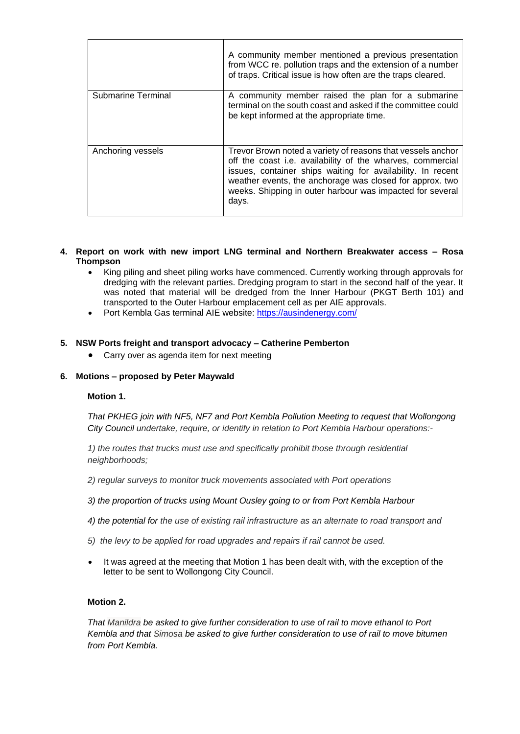|                    | A community member mentioned a previous presentation<br>from WCC re. pollution traps and the extension of a number<br>of traps. Critical issue is how often are the traps cleared.                                                                                                                                         |
|--------------------|----------------------------------------------------------------------------------------------------------------------------------------------------------------------------------------------------------------------------------------------------------------------------------------------------------------------------|
| Submarine Terminal | A community member raised the plan for a submarine<br>terminal on the south coast and asked if the committee could<br>be kept informed at the appropriate time.                                                                                                                                                            |
| Anchoring vessels  | Trevor Brown noted a variety of reasons that vessels anchor<br>off the coast i.e. availability of the wharves, commercial<br>issues, container ships waiting for availability. In recent<br>weather events, the anchorage was closed for approx. two<br>weeks. Shipping in outer harbour was impacted for several<br>days. |

- **4. Report on work with new import LNG terminal and Northern Breakwater access – Rosa Thompson**
	- King piling and sheet piling works have commenced. Currently working through approvals for dredging with the relevant parties. Dredging program to start in the second half of the year. It was noted that material will be dredged from the Inner Harbour (PKGT Berth 101) and transported to the Outer Harbour emplacement cell as per AIE approvals.
	- Port Kembla Gas terminal AIE website:<https://ausindenergy.com/>

### **5. NSW Ports freight and transport advocacy – Catherine Pemberton**

• Carry over as agenda item for next meeting

#### **6. Motions – proposed by Peter Maywald**

#### **Motion 1.**

*That PKHEG join with NF5, NF7 and Port Kembla Pollution Meeting to request that Wollongong City Council undertake, require, or identify in relation to Port Kembla Harbour operations:-*

*1) the routes that trucks must use and specifically prohibit those through residential neighborhoods;*

- *2) regular surveys to monitor truck movements associated with Port operations*
- *3) the proportion of trucks using Mount Ousley going to or from Port Kembla Harbour*
- *4) the potential for the use of existing rail infrastructure as an alternate to road transport and*
- *5) the levy to be applied for road upgrades and repairs if rail cannot be used.*
- It was agreed at the meeting that Motion 1 has been dealt with, with the exception of the letter to be sent to Wollongong City Council.

#### **Motion 2.**

*That Manildra be asked to give further consideration to use of rail to move ethanol to Port Kembla and that Simosa be asked to give further consideration to use of rail to move bitumen from Port Kembla.*